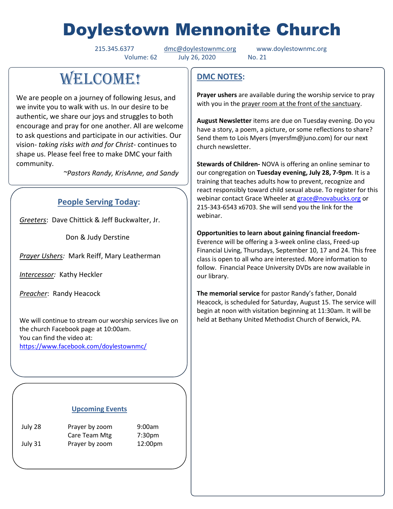# Doylestown Mennonite Church

Volume: 62 July 26, 2020 No. 21

215.345.6377 [dmc@doylestownmc.org](mailto:dmc@doylestownmc.org) www.doylestownmc.org

# **WELCOME!**

We are people on a journey of following Jesus, and we invite you to walk with us. In our desire to be authentic, we share our joys and struggles to both encourage and pray for one another. All are welcome to ask questions and participate in our activities. Our vision- *taking risks with and for Christ*- continues to shape us. Please feel free to make DMC your faith community.

 *~Pastors Randy, KrisAnne, and Sandy*

## **People Serving Today:**

*Greeters*: Dave Chittick & Jeff Buckwalter, Jr.

Don & Judy Derstine

*Prayer Ushers:* Mark Reiff, Mary Leatherman

*Intercessor:* Kathy Heckler

*Preacher*: Randy Heacock

We will continue to stream our worship services live on the church Facebook page at 10:00am. You can find the video at: <https://www.facebook.com/doylestownmc/>

#### **Upcoming Events**

July 28 Prayer by zoom 9:00am Care Team Mtg 7:30pm July 31 Prayer by zoom 12:00pm

## **DMC NOTES:**

**Prayer ushers** are available during the worship service to pray with you in the prayer room at the front of the sanctuary.

**August Newsletter** items are due on Tuesday evening. Do you have a story, a poem, a picture, or some reflections to share? Send them to Lois Myers (myersfm@juno.com) for our next church newsletter.

**Stewards of Children-** NOVA is offering an online seminar to our congregation on **Tuesday evening, July 28, 7-9pm**. It is a training that teaches adults how to prevent, recognize and react responsibly toward child sexual abuse. To register for this webinar contact Grace Wheeler at [grace@novabucks.org](mailto:grace@novabucks.org) or 215-343-6543 x6703. She will send you the link for the webinar.

**Opportunities to learn about gaining financial freedom-**Everence will be offering a 3-week online class, Freed-up Financial Living, Thursdays, September 10, 17 and 24. This free class is open to all who are interested. More information to follow. Financial Peace University DVDs are now available in our library.

**The memorial service** for pastor Randy's father, Donald Heacock, is scheduled for Saturday, August 15. The service will begin at noon with visitation beginning at 11:30am. It will be held at Bethany United Methodist Church of Berwick, PA.